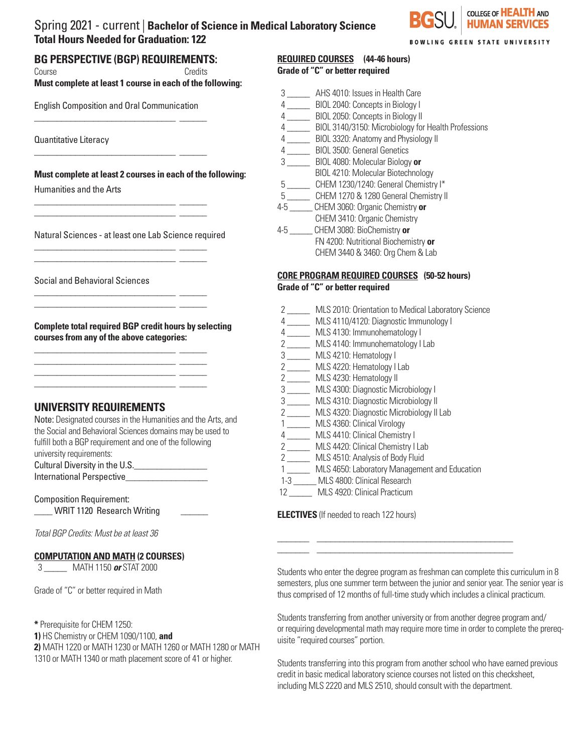## Spring 2021 - current | **Bachelor of Science in Medical Laboratory Science Total Hours Needed for Graduation: 122**



**BOWLING GREEN STATE UNIVERSITY** 

## **BG PERSPECTIVE (BGP) REQUIREMENTS:**

Course Credits **Must complete at least 1 course in each of the following:** 

English Composition and Oral Communication \_\_\_\_\_\_\_\_\_\_\_\_\_\_\_\_\_\_\_\_\_\_\_\_\_\_\_\_\_\_\_ \_\_\_\_\_\_

\_\_\_\_\_\_\_\_\_\_\_\_\_\_\_\_\_\_\_\_\_\_\_\_\_\_\_\_\_\_\_ \_\_\_\_\_\_

\_\_\_\_\_\_\_\_\_\_\_\_\_\_\_\_\_\_\_\_\_\_\_\_\_\_\_\_\_\_\_ \_\_\_\_\_\_ \_\_\_\_\_\_\_\_\_\_\_\_\_\_\_\_\_\_\_\_\_\_\_\_\_\_\_\_\_\_\_ \_\_\_\_\_\_

\_\_\_\_\_\_\_\_\_\_\_\_\_\_\_\_\_\_\_\_\_\_\_\_\_\_\_\_\_\_\_ \_\_\_\_\_\_ \_\_\_\_\_\_\_\_\_\_\_\_\_\_\_\_\_\_\_\_\_\_\_\_\_\_\_\_\_\_\_ \_\_\_\_\_\_

\_\_\_\_\_\_\_\_\_\_\_\_\_\_\_\_\_\_\_\_\_\_\_\_\_\_\_\_\_\_\_ \_\_\_\_\_\_ \_\_\_\_\_\_\_\_\_\_\_\_\_\_\_\_\_\_\_\_\_\_\_\_\_\_\_\_\_\_\_ \_\_\_\_\_\_

\_\_\_\_\_\_\_\_\_\_\_\_\_\_\_\_\_\_\_\_\_\_\_\_\_\_\_\_\_\_\_ \_\_\_\_\_\_

\_\_\_\_\_\_\_\_\_\_\_\_\_\_\_\_\_\_\_\_\_\_\_\_\_\_\_\_\_\_\_ \_\_\_\_\_\_ \_\_\_\_\_\_\_\_\_\_\_\_\_\_\_\_\_\_\_\_\_\_\_\_\_\_\_\_\_\_\_ \_\_\_\_\_\_

Quantitative Literacy

**Must complete at least 2 courses in each of the following:**

Humanities and the Arts

Natural Sciences - at least one Lab Science required

Social and Behavioral Sciences

**Complete total required BGP credit hours by selecting courses from any of the above categories:**

 $\mathcal{L}=\mathcal{L}=\mathcal{L}=\mathcal{L}=\mathcal{L}=\mathcal{L}=\mathcal{L}=\mathcal{L}=\mathcal{L}=\mathcal{L}=\mathcal{L}=\mathcal{L}=\mathcal{L}=\mathcal{L}=\mathcal{L}=\mathcal{L}=\mathcal{L}=\mathcal{L}=\mathcal{L}=\mathcal{L}=\mathcal{L}=\mathcal{L}=\mathcal{L}=\mathcal{L}=\mathcal{L}=\mathcal{L}=\mathcal{L}=\mathcal{L}=\mathcal{L}=\mathcal{L}=\mathcal{L}=\mathcal{L}=\mathcal{L}=\mathcal{L}=\mathcal{L}=\mathcal{L}=\mathcal{$ 

## **UNIVERSITY REQUIREMENTS**

Note: Designated courses in the Humanities and the Arts, and the Social and Behavioral Sciences domains may be used to fulfill both a BGP requirement and one of the following university requirements: Cultural Diversity in the U.S.\_\_\_\_\_\_\_\_\_\_\_\_\_\_\_\_ International Perspective

Composition Requirement: WRIT 1120 Research Writing

*Total BGP Credits: Must be at least 36*

#### **COMPUTATION AND MATH (2 COURSES)**

3 \_\_\_\_\_ MATH 1150 *or* STAT 2000

Grade of "C" or better required in Math

**\*** Prerequisite for CHEM 1250:

**1)** HS Chemistry or CHEM 1090/1100, **and**

**2)** MATH 1220 or MATH 1230 or MATH 1260 or MATH 1280 or MATH 1310 or MATH 1340 or math placement score of 41 or higher.

# **REQUIRED COURSES (44-46 hours)**

| Grade of "C" or better required |  |
|---------------------------------|--|
|---------------------------------|--|

 3 \_\_\_\_\_ AHS 4010: Issues in Health Care 4 \_\_\_\_\_ BIOL 2040: Concepts in Biology I 4 \_\_\_\_\_ BIOL 2050: Concepts in Biology II 4 \_\_\_\_\_ BIOL 3140/3150: Microbiology for Health Professions 4 \_\_\_\_\_ BIOL 3320: Anatomy and Physiology II 4 \_\_\_\_\_ BIOL 3500: General Genetics 3 \_\_\_\_\_ BIOL 4080: Molecular Biology **or** BIOL 4210: Molecular Biotechnology 5 \_\_\_\_\_ CHEM 1230/1240: General Chemistry I\* 5 \_\_\_\_\_ CHEM 1270 & 1280 General Chemistry II 4-5 \_\_\_\_\_ CHEM 3060: Organic Chemistry **or** CHEM 3410: Organic Chemistry 4-5 \_\_\_\_\_ CHEM 3080: BioChemistry **or** FN 4200: Nutritional Biochemistry **or**  CHEM 3440 & 3460: Org Chem & Lab

#### **CORE PROGRAM REQUIRED COURSES (50-52 hours) Grade of "C" or better required**

- 2 \_\_\_\_\_ MLS 2010: Orientation to Medical Laboratory Science
- 4 \_\_\_\_\_ MLS 4110/4120: Diagnostic Immunology I
- 4 \_\_\_\_\_ MLS 4130: Immunohematology I
- 2 \_\_\_\_\_ MLS 4140: Immunohematology I Lab
- 3 \_\_\_\_\_ MLS 4210: Hematology I
- 2 \_\_\_\_\_ MLS 4220: Hematology I Lab
- 2 \_\_\_\_\_\_ MLS 4230: Hematology II
- 3 \_\_\_\_\_ MLS 4300: Diagnostic Microbiology I
- 3 \_\_\_\_\_ MLS 4310: Diagnostic Microbiology II
- 2 \_\_\_\_\_ MLS 4320: Diagnostic Microbiology II Lab
- 1 \_\_\_\_\_ MLS 4360: Clinical Virology
- 4 \_\_\_\_\_ MLS 4410: Clinical Chemistry I
- 2 \_\_\_\_\_\_ MLS 4420: Clinical Chemistry I Lab
- 2 \_\_\_\_\_ MLS 4510: Analysis of Body Fluid
- 1 \_\_\_\_\_ MLS 4650: Laboratory Management and Education

\_\_\_\_\_\_\_ \_\_\_\_\_\_\_\_\_\_\_\_\_\_\_\_\_\_\_\_\_\_\_\_\_\_\_\_\_\_\_\_\_\_\_\_\_\_\_\_\_\_\_ \_\_\_\_\_\_\_ \_\_\_\_\_\_\_\_\_\_\_\_\_\_\_\_\_\_\_\_\_\_\_\_\_\_\_\_\_\_\_\_\_\_\_\_\_\_\_\_\_\_\_

- 1-3 \_\_\_\_\_ MLS 4800: Clinical Research
- 12 \_\_\_\_\_ MLS 4920: Clinical Practicum

**ELECTIVES** (If needed to reach 122 hours)

Students who enter the degree program as freshman can complete this curriculum in 8 semesters, plus one summer term between the junior and senior year. The senior year is thus comprised of 12 months of full-time study which includes a clinical practicum.

Students transferring from another university or from another degree program and/ or requiring developmental math may require more time in order to complete the prerequisite "required courses" portion.

Students transferring into this program from another school who have earned previous credit in basic medical laboratory science courses not listed on this checksheet, including MLS 2220 and MLS 2510, should consult with the department.